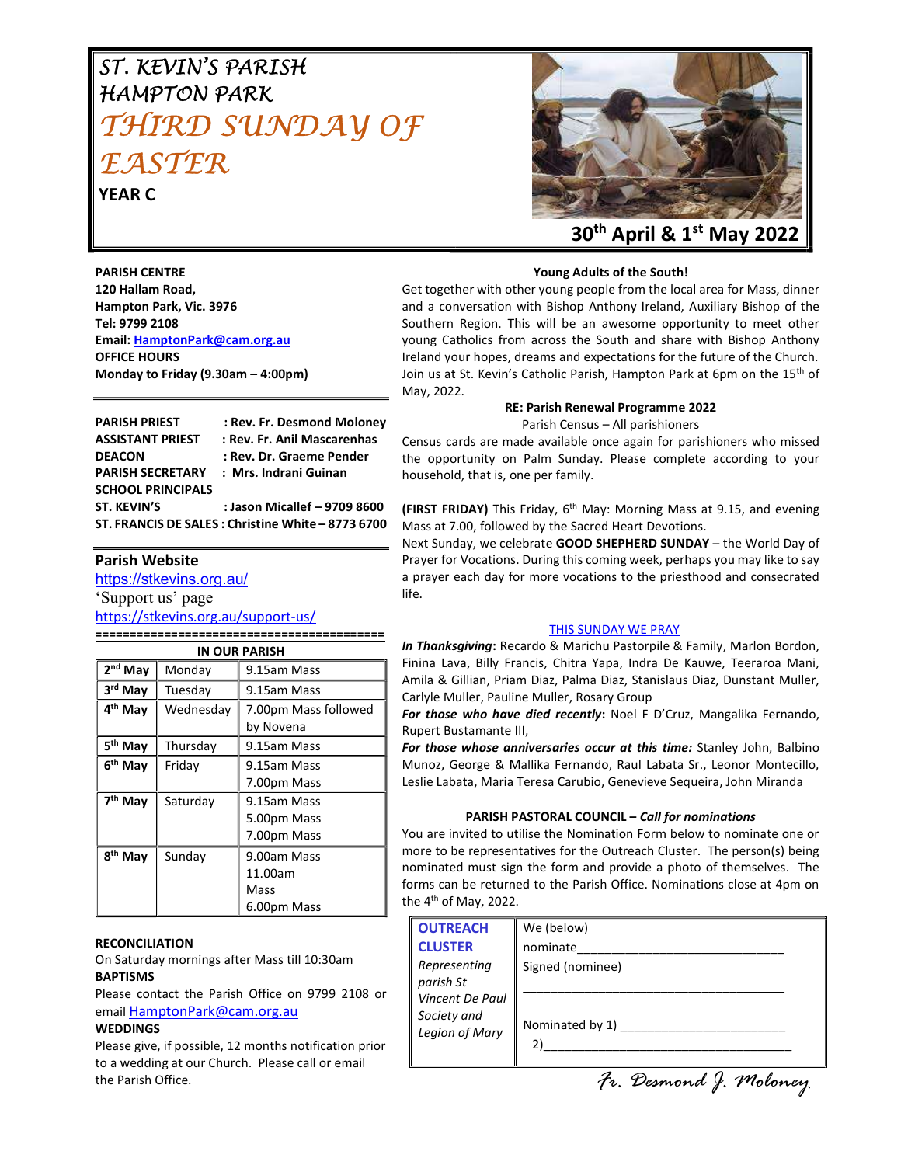# ST. KEVIN'S PARISH HAMPTON PARK THIRD SUNDAY OF F A STFR.

YEAR C



#### Young Adults of the South!

PARISH CENTRE 120 Hallam Road, Hampton Park, Vic. 3976 Tel: 9799 2108 Email: HamptonPark@cam.org.au OFFICE HOURS Monday to Friday (9.30am – 4:00pm)

Get together with other young people from the local area for Mass, dinner and a conversation with Bishop Anthony Ireland, Auxiliary Bishop of the Southern Region. This will be an awesome opportunity to meet other young Catholics from across the South and share with Bishop Anthony Ireland your hopes, dreams and expectations for the future of the Church. Join us at St. Kevin's Catholic Parish, Hampton Park at 6pm on the 15<sup>th</sup> of May, 2022.

#### RE: Parish Renewal Programme 2022

Parish Census – All parishioners

Census cards are made available once again for parishioners who missed the opportunity on Palm Sunday. Please complete according to your household, that is, one per family.

(FIRST FRIDAY) This Friday, 6<sup>th</sup> May: Morning Mass at 9.15, and evening Mass at 7.00, followed by the Sacred Heart Devotions.

Next Sunday, we celebrate GOOD SHEPHERD SUNDAY – the World Day of Prayer for Vocations. During this coming week, perhaps you may like to say a prayer each day for more vocations to the priesthood and consecrated life.

#### THIS SUNDAY WE PRAY

In Thanksgiving: Recardo & Marichu Pastorpile & Family, Marlon Bordon, Finina Lava, Billy Francis, Chitra Yapa, Indra De Kauwe, Teeraroa Mani, Amila & Gillian, Priam Diaz, Palma Diaz, Stanislaus Diaz, Dunstant Muller, Carlyle Muller, Pauline Muller, Rosary Group

For those who have died recently: Noel F D'Cruz, Mangalika Fernando, Rupert Bustamante III,

For those whose anniversaries occur at this time: Stanley John, Balbino Munoz, George & Mallika Fernando, Raul Labata Sr., Leonor Montecillo, Leslie Labata, Maria Teresa Carubio, Genevieve Sequeira, John Miranda

#### PARISH PASTORAL COUNCIL – Call for nominations

You are invited to utilise the Nomination Form below to nominate one or more to be representatives for the Outreach Cluster. The person(s) being nominated must sign the form and provide a photo of themselves. The forms can be returned to the Parish Office. Nominations close at 4pm on the  $4<sup>th</sup>$  of May, 2022.

| <b>OUTREACH</b><br><b>CLUSTER</b>                | We (below)<br>nominate |
|--------------------------------------------------|------------------------|
| Representing<br>parish St                        | Signed (nominee)       |
| Vincent De Paul<br>Society and<br>Legion of Mary | Nominated by 1)<br>2)  |
|                                                  | Fr. Desmond J. Moloney |

PARISH PRIEST : Rev. Fr. Desmond Moloney ASSISTANT PRIEST : Rev. Fr. Anil Mascarenhas DEACON : Rev. Dr. Graeme Pender PARISH SECRETARY : Mrs. Indrani Guinan SCHOOL PRINCIPALS ST. KEVIN'S : Jason Micallef – 9709 8600 ST. FRANCIS DE SALES : Christine White – 8773 6700

#### Parish Website

https://stkevins.org.au/

'Support us' page https://stkevins.org.au/support-us/

========================================== IN OUR PARISH

| IN OUR PARISH       |           |                      |  |
|---------------------|-----------|----------------------|--|
| 2 <sup>nd</sup> May | Monday    | 9.15am Mass          |  |
| 3rd May             | Tuesday   | 9.15am Mass          |  |
| 4 <sup>th</sup> May | Wednesdav | 7.00pm Mass followed |  |
|                     |           | by Novena            |  |
| 5 <sup>th</sup> May | Thursday  | 9.15am Mass          |  |
| 6 <sup>th</sup> May | Friday    | 9.15am Mass          |  |
|                     |           | 7.00pm Mass          |  |
| 7 <sup>th</sup> May | Saturday  | 9.15am Mass          |  |
|                     |           | 5.00pm Mass          |  |
|                     |           | 7.00pm Mass          |  |
| 8 <sup>th</sup> May | Sunday    | 9.00am Mass          |  |
|                     |           | 11.00am              |  |
|                     |           | Mass                 |  |
|                     |           | 6.00pm Mass          |  |

#### RECONCILIATION

On Saturday mornings after Mass till 10:30am **BAPTISMS** 

Please contact the Parish Office on 9799 2108 or email HamptonPark@cam.org.au

#### **WEDDINGS**

Please give, if possible, 12 months notification prior to a wedding at our Church. Please call or email the Parish Office.